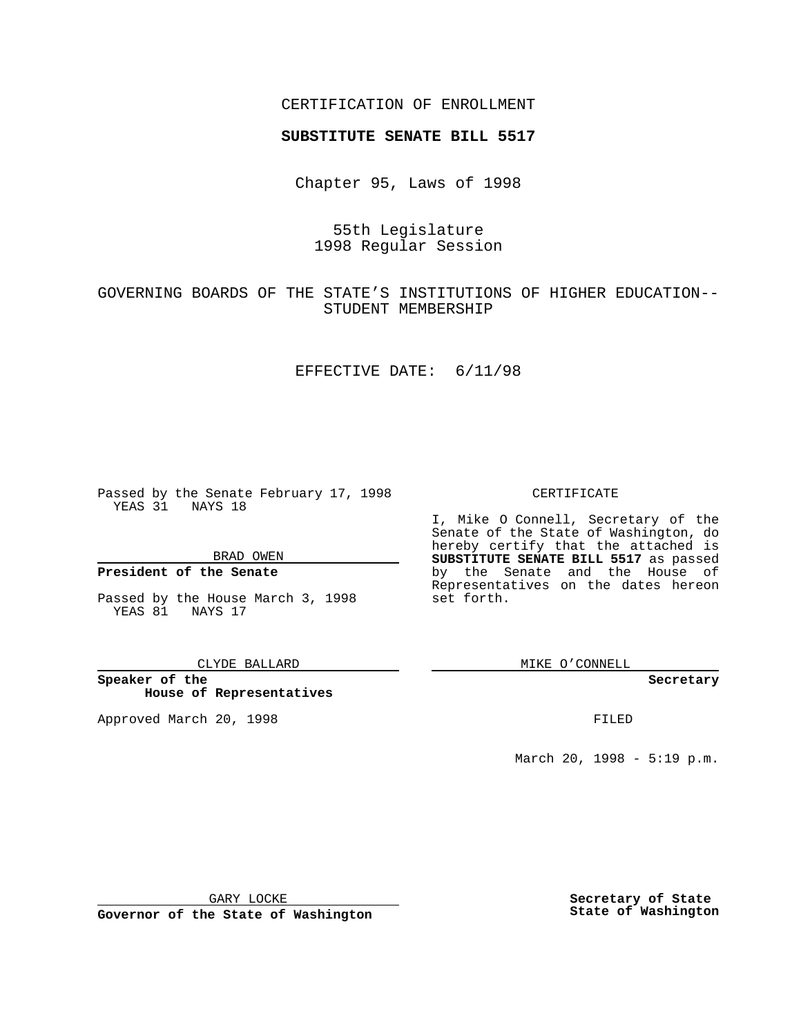## CERTIFICATION OF ENROLLMENT

# **SUBSTITUTE SENATE BILL 5517**

Chapter 95, Laws of 1998

55th Legislature 1998 Regular Session

GOVERNING BOARDS OF THE STATE'S INSTITUTIONS OF HIGHER EDUCATION-- STUDENT MEMBERSHIP

#### EFFECTIVE DATE: 6/11/98

Passed by the Senate February 17, 1998 YEAS 31 NAYS 18

BRAD OWEN

## **President of the Senate**

Passed by the House March 3, 1998 YEAS 81 NAYS 17

CLYDE BALLARD

**Speaker of the House of Representatives**

Approved March 20, 1998 **FILED** 

### CERTIFICATE

I, Mike O Connell, Secretary of the Senate of the State of Washington, do hereby certify that the attached is **SUBSTITUTE SENATE BILL 5517** as passed by the Senate and the House of Representatives on the dates hereon set forth.

MIKE O'CONNELL

**Secretary**

March 20, 1998 - 5:19 p.m.

GARY LOCKE

**Governor of the State of Washington**

**Secretary of State State of Washington**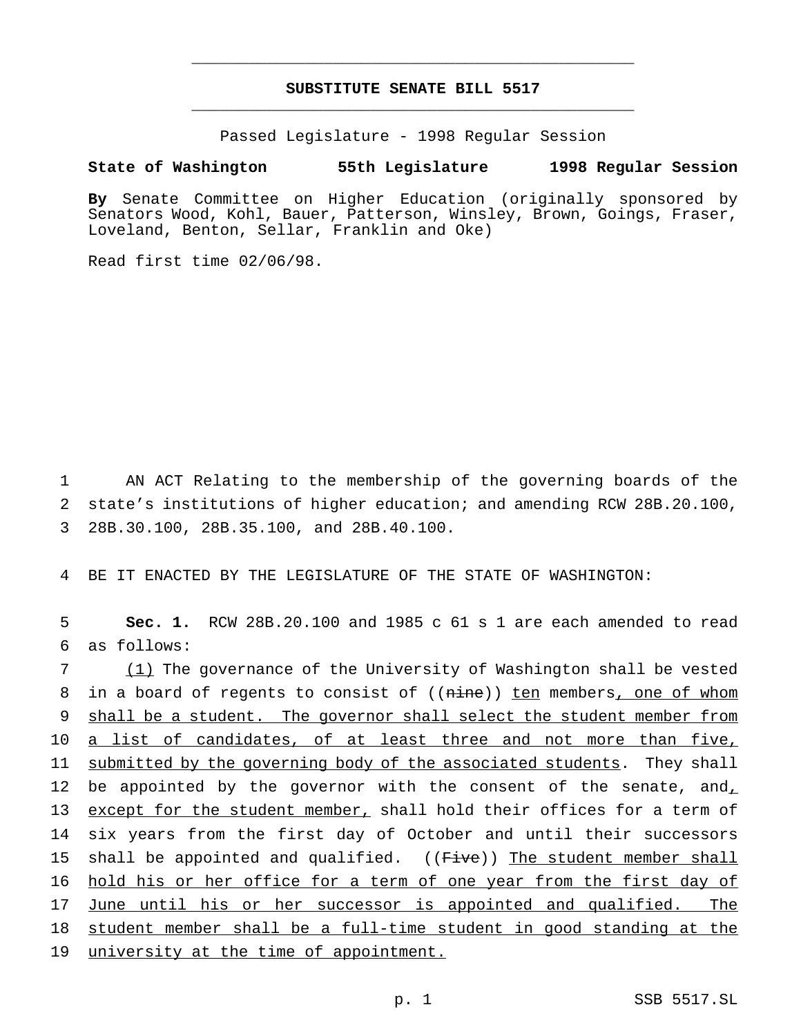# **SUBSTITUTE SENATE BILL 5517** \_\_\_\_\_\_\_\_\_\_\_\_\_\_\_\_\_\_\_\_\_\_\_\_\_\_\_\_\_\_\_\_\_\_\_\_\_\_\_\_\_\_\_\_\_\_\_

\_\_\_\_\_\_\_\_\_\_\_\_\_\_\_\_\_\_\_\_\_\_\_\_\_\_\_\_\_\_\_\_\_\_\_\_\_\_\_\_\_\_\_\_\_\_\_

Passed Legislature - 1998 Regular Session

### **State of Washington 55th Legislature 1998 Regular Session**

**By** Senate Committee on Higher Education (originally sponsored by Senators Wood, Kohl, Bauer, Patterson, Winsley, Brown, Goings, Fraser, Loveland, Benton, Sellar, Franklin and Oke)

Read first time 02/06/98.

1 AN ACT Relating to the membership of the governing boards of the 2 state's institutions of higher education; and amending RCW 28B.20.100, 3 28B.30.100, 28B.35.100, and 28B.40.100.

4 BE IT ENACTED BY THE LEGISLATURE OF THE STATE OF WASHINGTON:

5 **Sec. 1.** RCW 28B.20.100 and 1985 c 61 s 1 are each amended to read 6 as follows:

7 (1) The governance of the University of Washington shall be vested 8 in a board of regents to consist of ((nine)) ten members, one of whom 9 shall be a student. The governor shall select the student member from 10 a list of candidates, of at least three and not more than five, 11 submitted by the governing body of the associated students. They shall 12 be appointed by the governor with the consent of the senate, and, 13 except for the student member, shall hold their offices for a term of 14 six years from the first day of October and until their successors 15 shall be appointed and qualified. ((Five)) The student member shall 16 hold his or her office for a term of one year from the first day of 17 June until his or her successor is appointed and qualified. The 18 student member shall be a full-time student in good standing at the 19 university at the time of appointment.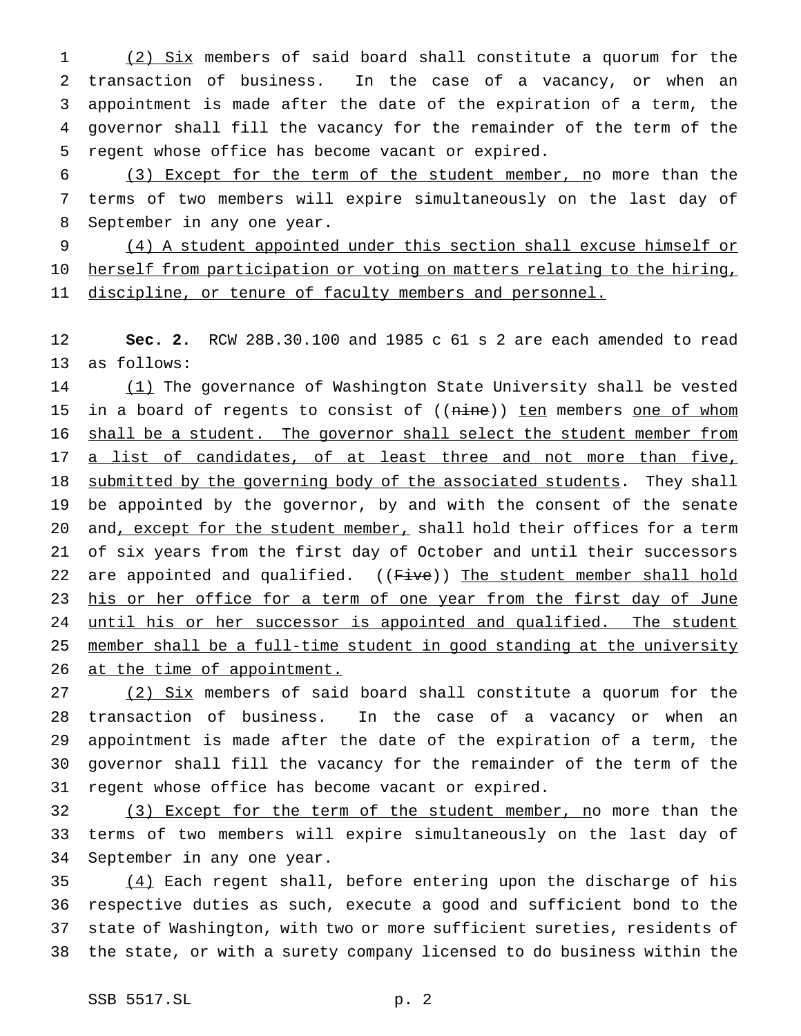(2) Six members of said board shall constitute a quorum for the transaction of business. In the case of a vacancy, or when an appointment is made after the date of the expiration of a term, the governor shall fill the vacancy for the remainder of the term of the regent whose office has become vacant or expired.

 (3) Except for the term of the student member, no more than the terms of two members will expire simultaneously on the last day of September in any one year.

 (4) A student appointed under this section shall excuse himself or 10 herself from participation or voting on matters relating to the hiring, 11 discipline, or tenure of faculty members and personnel.

 **Sec. 2.** RCW 28B.30.100 and 1985 c 61 s 2 are each amended to read as follows:

14 (1) The governance of Washington State University shall be vested 15 in a board of regents to consist of ((nine)) ten members one of whom 16 shall be a student. The governor shall select the student member from 17 a list of candidates, of at least three and not more than five, 18 submitted by the governing body of the associated students. They shall be appointed by the governor, by and with the consent of the senate 20 and, except for the student member, shall hold their offices for a term of six years from the first day of October and until their successors 22 are appointed and qualified. ((Five)) The student member shall hold 23 his or her office for a term of one year from the first day of June 24 until his or her successor is appointed and qualified. The student member shall be a full-time student in good standing at the university 26 at the time of appointment.

 (2) Six members of said board shall constitute a quorum for the transaction of business. In the case of a vacancy or when an appointment is made after the date of the expiration of a term, the governor shall fill the vacancy for the remainder of the term of the regent whose office has become vacant or expired.

32 (3) Except for the term of the student member, no more than the terms of two members will expire simultaneously on the last day of September in any one year.

 (4) Each regent shall, before entering upon the discharge of his respective duties as such, execute a good and sufficient bond to the state of Washington, with two or more sufficient sureties, residents of the state, or with a surety company licensed to do business within the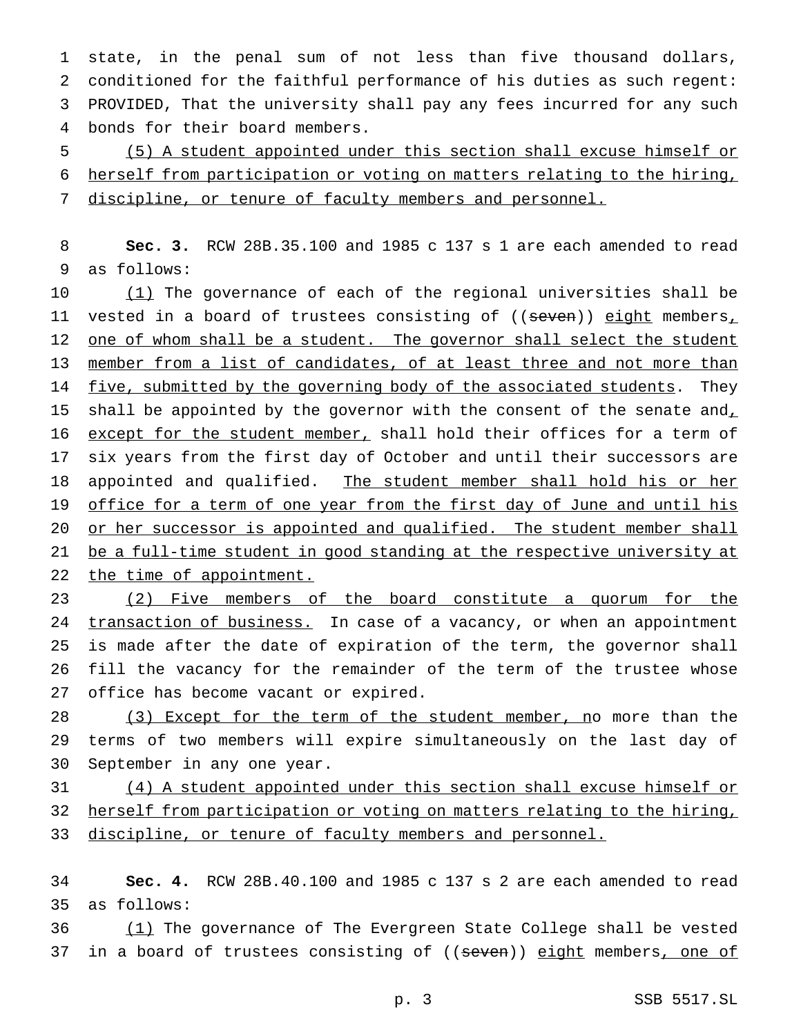state, in the penal sum of not less than five thousand dollars, conditioned for the faithful performance of his duties as such regent: PROVIDED, That the university shall pay any fees incurred for any such bonds for their board members.

5 (5) A student appointed under this section shall excuse himself or 6 herself from participation or voting on matters relating to the hiring, 7 discipline, or tenure of faculty members and personnel.

8 **Sec. 3.** RCW 28B.35.100 and 1985 c 137 s 1 are each amended to read 9 as follows:

10 (1) The governance of each of the regional universities shall be 11 vested in a board of trustees consisting of ((seven)) eight members, 12 one of whom shall be a student. The governor shall select the student 13 member from a list of candidates, of at least three and not more than 14 five, submitted by the governing body of the associated students. They 15 shall be appointed by the governor with the consent of the senate and, 16 except for the student member, shall hold their offices for a term of 17 six years from the first day of October and until their successors are 18 appointed and qualified. The student member shall hold his or her 19 office for a term of one year from the first day of June and until his 20 or her successor is appointed and qualified. The student member shall 21 be a full-time student in good standing at the respective university at 22 the time of appointment.

 (2) Five members of the board constitute a quorum for the 24 transaction of business. In case of a vacancy, or when an appointment is made after the date of expiration of the term, the governor shall fill the vacancy for the remainder of the term of the trustee whose office has become vacant or expired.

28 (3) Except for the term of the student member, no more than the 29 terms of two members will expire simultaneously on the last day of 30 September in any one year.

31 (4) A student appointed under this section shall excuse himself or 32 herself from participation or voting on matters relating to the hiring, 33 discipline, or tenure of faculty members and personnel.

34 **Sec. 4.** RCW 28B.40.100 and 1985 c 137 s 2 are each amended to read 35 as follows:

36 (1) The governance of The Evergreen State College shall be vested 37 in a board of trustees consisting of ((seven)) eight members, one of